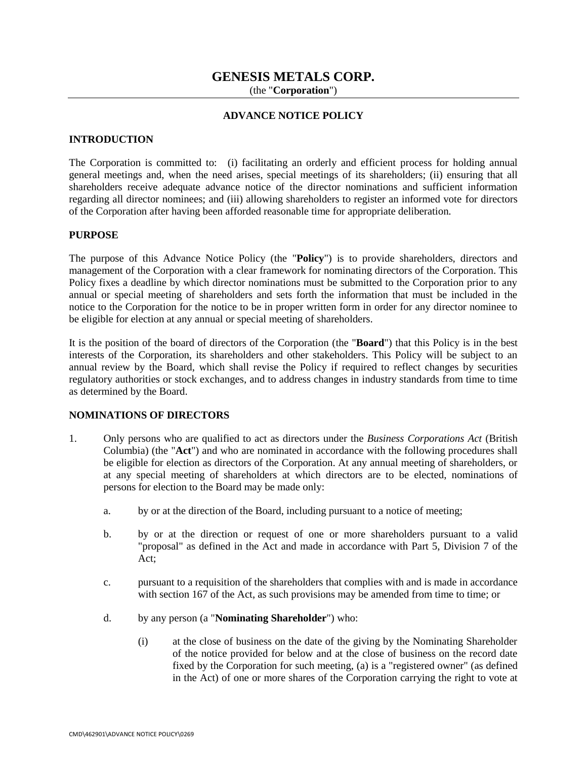# **GENESIS METALS CORP.**

(the "**Corporation**")

## **ADVANCE NOTICE POLICY**

#### **INTRODUCTION**

The Corporation is committed to: (i) facilitating an orderly and efficient process for holding annual general meetings and, when the need arises, special meetings of its shareholders; (ii) ensuring that all shareholders receive adequate advance notice of the director nominations and sufficient information regarding all director nominees; and (iii) allowing shareholders to register an informed vote for directors of the Corporation after having been afforded reasonable time for appropriate deliberation.

#### **PURPOSE**

The purpose of this Advance Notice Policy (the "**Policy**") is to provide shareholders, directors and management of the Corporation with a clear framework for nominating directors of the Corporation. This Policy fixes a deadline by which director nominations must be submitted to the Corporation prior to any annual or special meeting of shareholders and sets forth the information that must be included in the notice to the Corporation for the notice to be in proper written form in order for any director nominee to be eligible for election at any annual or special meeting of shareholders.

It is the position of the board of directors of the Corporation (the "**Board**") that this Policy is in the best interests of the Corporation, its shareholders and other stakeholders. This Policy will be subject to an annual review by the Board, which shall revise the Policy if required to reflect changes by securities regulatory authorities or stock exchanges, and to address changes in industry standards from time to time as determined by the Board.

#### **NOMINATIONS OF DIRECTORS**

- 1. Only persons who are qualified to act as directors under the *Business Corporations Act* (British Columbia) (the "**Act**") and who are nominated in accordance with the following procedures shall be eligible for election as directors of the Corporation. At any annual meeting of shareholders, or at any special meeting of shareholders at which directors are to be elected, nominations of persons for election to the Board may be made only:
	- a. by or at the direction of the Board, including pursuant to a notice of meeting;
	- b. by or at the direction or request of one or more shareholders pursuant to a valid "proposal" as defined in the Act and made in accordance with Part 5, Division 7 of the Act;
	- c. pursuant to a requisition of the shareholders that complies with and is made in accordance with section 167 of the Act, as such provisions may be amended from time to time; or
	- d. by any person (a "**Nominating Shareholder**") who:
		- (i) at the close of business on the date of the giving by the Nominating Shareholder of the notice provided for below and at the close of business on the record date fixed by the Corporation for such meeting, (a) is a "registered owner" (as defined in the Act) of one or more shares of the Corporation carrying the right to vote at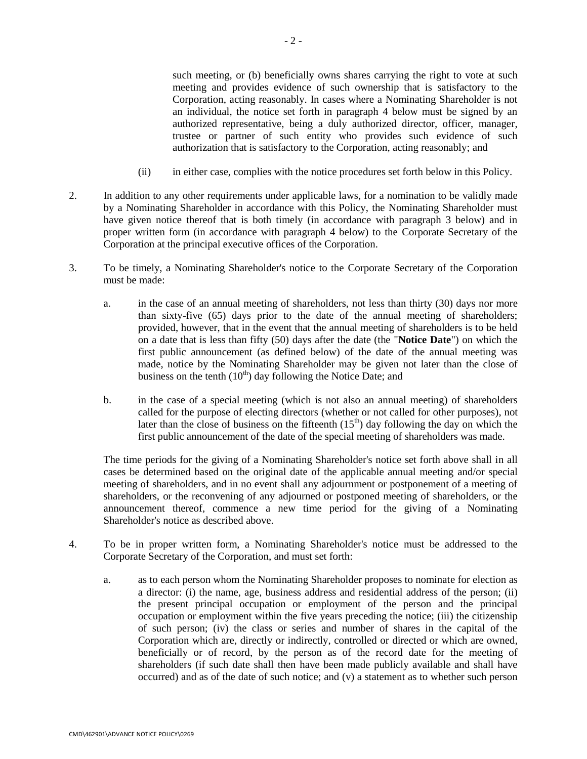such meeting, or (b) beneficially owns shares carrying the right to vote at such meeting and provides evidence of such ownership that is satisfactory to the Corporation, acting reasonably. In cases where a Nominating Shareholder is not an individual, the notice set forth in paragraph 4 below must be signed by an authorized representative, being a duly authorized director, officer, manager, trustee or partner of such entity who provides such evidence of such authorization that is satisfactory to the Corporation, acting reasonably; and

- (ii) in either case, complies with the notice procedures set forth below in this Policy.
- 2. In addition to any other requirements under applicable laws, for a nomination to be validly made by a Nominating Shareholder in accordance with this Policy, the Nominating Shareholder must have given notice thereof that is both timely (in accordance with paragraph 3 below) and in proper written form (in accordance with paragraph 4 below) to the Corporate Secretary of the Corporation at the principal executive offices of the Corporation.
- 3. To be timely, a Nominating Shareholder's notice to the Corporate Secretary of the Corporation must be made:
	- a. in the case of an annual meeting of shareholders, not less than thirty (30) days nor more than sixty-five (65) days prior to the date of the annual meeting of shareholders; provided, however, that in the event that the annual meeting of shareholders is to be held on a date that is less than fifty (50) days after the date (the "**Notice Date**") on which the first public announcement (as defined below) of the date of the annual meeting was made, notice by the Nominating Shareholder may be given not later than the close of business on the tenth  $(10<sup>th</sup>)$  day following the Notice Date; and
	- b. in the case of a special meeting (which is not also an annual meeting) of shareholders called for the purpose of electing directors (whether or not called for other purposes), not later than the close of business on the fifteenth  $(15<sup>th</sup>)$  day following the day on which the first public announcement of the date of the special meeting of shareholders was made.

The time periods for the giving of a Nominating Shareholder's notice set forth above shall in all cases be determined based on the original date of the applicable annual meeting and/or special meeting of shareholders, and in no event shall any adjournment or postponement of a meeting of shareholders, or the reconvening of any adjourned or postponed meeting of shareholders, or the announcement thereof, commence a new time period for the giving of a Nominating Shareholder's notice as described above.

- 4. To be in proper written form, a Nominating Shareholder's notice must be addressed to the Corporate Secretary of the Corporation, and must set forth:
	- a. as to each person whom the Nominating Shareholder proposes to nominate for election as a director: (i) the name, age, business address and residential address of the person; (ii) the present principal occupation or employment of the person and the principal occupation or employment within the five years preceding the notice; (iii) the citizenship of such person; (iv) the class or series and number of shares in the capital of the Corporation which are, directly or indirectly, controlled or directed or which are owned, beneficially or of record, by the person as of the record date for the meeting of shareholders (if such date shall then have been made publicly available and shall have occurred) and as of the date of such notice; and (v) a statement as to whether such person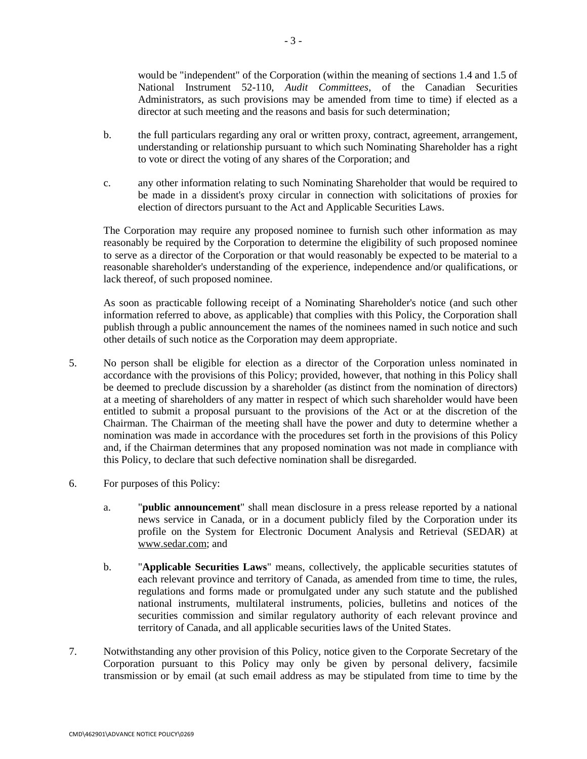would be "independent" of the Corporation (within the meaning of sections 1.4 and 1.5 of National Instrument 52-110, *Audit Committees*, of the Canadian Securities Administrators, as such provisions may be amended from time to time) if elected as a director at such meeting and the reasons and basis for such determination;

- b. the full particulars regarding any oral or written proxy, contract, agreement, arrangement, understanding or relationship pursuant to which such Nominating Shareholder has a right to vote or direct the voting of any shares of the Corporation; and
- c. any other information relating to such Nominating Shareholder that would be required to be made in a dissident's proxy circular in connection with solicitations of proxies for election of directors pursuant to the Act and Applicable Securities Laws.

The Corporation may require any proposed nominee to furnish such other information as may reasonably be required by the Corporation to determine the eligibility of such proposed nominee to serve as a director of the Corporation or that would reasonably be expected to be material to a reasonable shareholder's understanding of the experience, independence and/or qualifications, or lack thereof, of such proposed nominee.

As soon as practicable following receipt of a Nominating Shareholder's notice (and such other information referred to above, as applicable) that complies with this Policy, the Corporation shall publish through a public announcement the names of the nominees named in such notice and such other details of such notice as the Corporation may deem appropriate.

- 5. No person shall be eligible for election as a director of the Corporation unless nominated in accordance with the provisions of this Policy; provided, however, that nothing in this Policy shall be deemed to preclude discussion by a shareholder (as distinct from the nomination of directors) at a meeting of shareholders of any matter in respect of which such shareholder would have been entitled to submit a proposal pursuant to the provisions of the Act or at the discretion of the Chairman. The Chairman of the meeting shall have the power and duty to determine whether a nomination was made in accordance with the procedures set forth in the provisions of this Policy and, if the Chairman determines that any proposed nomination was not made in compliance with this Policy, to declare that such defective nomination shall be disregarded.
- 6. For purposes of this Policy:
	- a. "**public announcement**" shall mean disclosure in a press release reported by a national news service in Canada, or in a document publicly filed by the Corporation under its profile on the System for Electronic Document Analysis and Retrieval (SEDAR) at www.sedar.com; and
	- b. "**Applicable Securities Laws**" means, collectively, the applicable securities statutes of each relevant province and territory of Canada, as amended from time to time, the rules, regulations and forms made or promulgated under any such statute and the published national instruments, multilateral instruments, policies, bulletins and notices of the securities commission and similar regulatory authority of each relevant province and territory of Canada, and all applicable securities laws of the United States.
- 7. Notwithstanding any other provision of this Policy, notice given to the Corporate Secretary of the Corporation pursuant to this Policy may only be given by personal delivery, facsimile transmission or by email (at such email address as may be stipulated from time to time by the